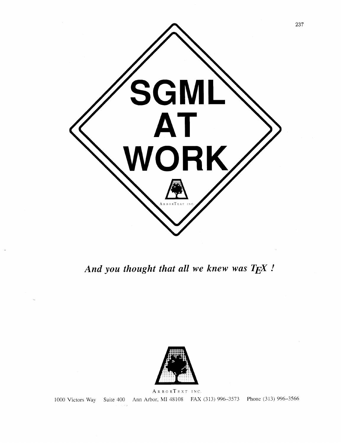

*And you thought that all we knew was TEX* !



ARBORTEXT INC. 1000 Victors Way Suite 400 Ann Arbor, MI 48108 FAX (313) 996-3573 Phone (313) 996-3566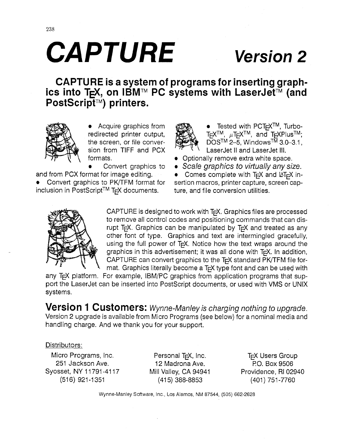# **CAPTURE Version 2**

CAPTURE is **a** system of programs for inserting graphics into T<sub>F</sub>X, on IBM™ PC systems with LaserJet™ (and PostScript<sup>TM</sup>) printers.



**•** Acquire graphics from  $\mathcal{L}(\mathbb{R})$  **•** Tested with PCT<sub>F</sub>X<sup>TM</sup>, Turbo-

inclusion in PostScript<sup>TM</sup> T<sub>F</sub>X documents. ture, and file conversion utilities.



redirected printer output,  $\sum_{k=1}^{\infty}$  TEX<sup>TM</sup>,  $\mu$ TEX<sup>TM</sup>, and TEXPlus<sup>TM</sup>; the screen, or file conver-  $\bigoplus$   $\bigoplus$   $\bigotimes$   $\bigoplus$  DOS<sup>TM</sup> 2-5, Windows<sup>TM</sup> 3.0-3.1, sion from TIFF and PCX  $\frac{1}{2}$   $\frac{1}{2}$  LaserJet II and LaserJet III.

- formats. **and in the contract of Contract of Optionally remove extra white space.** 
	- **Convert graphics to Scale graphics to virtually any size.**

and from PCX format for image editing. **•** Comes complete with T<sub>E</sub>X and LAT<sub>E</sub>X in-<br>• Convert graphics to PK/TFM format for sertion macros, printer capture, screen capsertion macros, printer capture, screen cap-



CAPTURE is designed to work with TEX. Graphics files are processed to remove all control codes and positioning commands that can disrupt TEX. Graphics can be manipulated by TEX and treated as any other font of type. Graphics and text are intermingled gracefully, using the full power of  $Tr X$ . Notice how the text wraps around the graphics in this advertisement; it was all done with  $T<sub>F</sub>X$ . In addition, CAPTURE can convert graphics to the T<sub>F</sub>X standard PK/TFM file format. Graphics literally become a T<sub>F</sub>X type font and can be used with

any T<sub>F</sub>X platform. For example, IBM/PC graphics from application programs that support the LaserJet can be inserted into PostScript documents, or used with VMS or UNIX systems.

**Version 1 C** usto mers: Wynne-Manley is charging nothing to upgrade. Version 2 upgrade is available from Micro Programs (see below) for a nominal media and handling charge. And we thank you for your support.

### Distributors:

Micro Programs, Inc. **Personal T<sub>F</sub>X**, Inc. TFX Users Group 251 Jackson Ave. 12 Madrona Ave. PO. Box 9506 Syosset, NY 11791-4117 Mill Valley, CA 94941 Providence, RI 02940

(516) 921-1351 (415) 388-8853 (401) 751-7760

Wynne-Manley Software, Inc., Los Alarnos, NM 87544, (505) 662-2628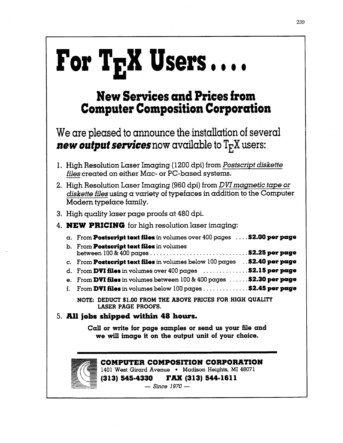# $\Gamma$ or  $T_F X$  Users  $\ldots$

### **New Services and Prices from Computer Composition Corporation**

We are pleased to announce the installation of several *new output services* now available to  $T_F X$  users:

- 1. High Resolution Laser Imaging (1 200 dpi) from *Postscript diskette files* created on either Mac- or PC-based systems.
- 2. High Resolution Laser Imaging (960 dpi) from *DVImagnetic tape or diskette files* using a variety of typefaces in addition to the Computer Modern typeface family.
- **3.** High quality laser page proofs at 480 dpi.

### 4. **NEW PRICING** for high resolution laser imaging:

| $\alpha$ . From <b>Postscript text files</b> in volumes over 400 pages $\dots$ <b>\$2.00 per page</b> |
|-------------------------------------------------------------------------------------------------------|
| b. From Postscript text files in volumes                                                              |
| c. From Postscript text files in volumes below 100 pages . \$2.40 per page                            |
| d. From DVI files in volumes over $400$ pages $\dots\dots\dots\dots$ \$2.15 per page                  |
| e. From DVI files in volumes between $100\& 400$ pages $\dots \dots$ \$2.30 per page                  |
| f. From DVI files in volumes below $100$ pages \$2.45 per page                                        |

**NOTE: DEDUCT \$1.00 FROM THE ABOVE PRICES FOR HIGH QUALITY LASER PAGE PROOFS.** 

### **5. All jobs shipped within 48 hours.**

**Call or write for page samples or send us your file and we will image it on the output unit of your choice.** 



## **COMPUTER COMPOSITION CORPORATION <sup>j</sup>**- **<sup>140</sup>1 West Girard Avenue Madison Heights, MI 4807 1** \*:+-

'%-- -- **(3 13) 545-4330 FAX (3 13) 544-1 6 1 1 (313) 545-4330 FAX (313) 544-1611**<br>- *Since* 1970 -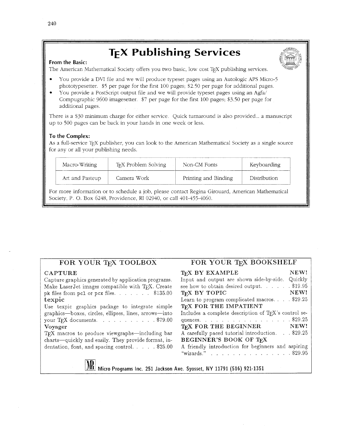### **T<sub>F</sub>X Publishing Services**

### **From the Basic:**

The American Mathematical Society offers you two basic, low cost TFX publishing services.

- You provide a DVI file and we will produce typeset pages using an Autologic APS Micro-5 phototypesetter. \$5 per page for the first 100 pages; S2.50 per page for additional pages.
- You provide a PostScript output file and we will provide typeset pages using an Agfa/ Compugraphic 9600 imagesetter. \$7 per page for the first 100 pages: \$3.50 per page for additional pages.

There is a \$30 minimum charge for either service. Quick turnaround is also provided ... a manuscript up to 500 pages can be back in your hands in one week or less.

### **To** the **Complex:**

As a full-service T<sub>E</sub>X publisher, you can look to the American Mathematical Society as a single source for any or all your publishing needs.

| Macro-Writing   | T <sub>E</sub> X Problem Solving | Non-CM Fonts         | Keyboarding  |  |
|-----------------|----------------------------------|----------------------|--------------|--|
| Art and Pasteup | Camera Work                      | Printing and Binding | Distribution |  |

For more information or to schedule a job, please contact Regina Girouard, American Mathematical Society, P. 0. Box 6248, Providence, RI 02940, or call 401-455-4060.

### FOR YOUR TEX TOOLBOX

### CAPTURE

<u>L</u>

Capture graphics generated by application programs. Make LaserJet images compatible with TEX. Create pk files from pcl or pcx files. . . . . . \$135.00 texpic

Use texpic graphics package to integrate simple graphics-boxes, circles, ellipses, lines, arrows-into your TFX documents. . . . . . . . . . \$79.00 Voyager

TFX macros to produce viewgraphs-including bar charts-quickly and easily. They provide format, indentation, font, and spacing control. . . . . \$25.00

### FOR YOUR TEX BOOKSHELF

| T <sub>F</sub> X BY EXAMPLE                           | NEW!      |
|-------------------------------------------------------|-----------|
| Input and output are shown side-by-side.              | Quickly   |
| see how to obtain desired output                      | . \$19.95 |
| T <sub>F</sub> X BY TOPIC                             | NEW!      |
| Learn to program complicated macros. $\ldots$ \$29.25 |           |
| T <sub>E</sub> X FOR THE IMPATIENT                    |           |
| Includes a complete description of TFX's control se-  |           |
| quences. \$29.25                                      |           |
| TEX FOR THE BEGINNER                                  | NEW!      |
| A carefully paced tutorial introduction. \$29.25      |           |
| BEGINNER'S BOOK OF TFX                                |           |
| A friendly introduction for beginners and aspiring    |           |
| "wizards."<br>and the state of the                    | \$29.95   |
|                                                       |           |

**Micro Programs Inc. 251 Jackson Ave Syosset, NY 11791 (516) 921-1351**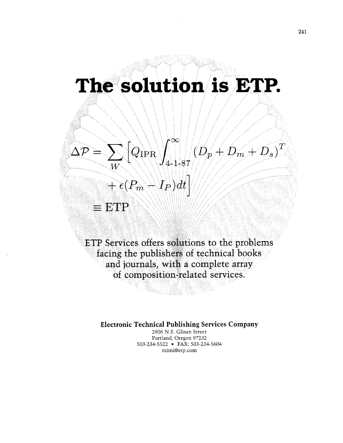## The solution is ETP.



 $\equiv$  ETP

ETP Services offers solutions to the problems facing the publishers of technical books and journals, with a complete array of composition-related services.

**Electronic Technical Publishing Services Company** 

2906 N.E. Glisan Street Portland, Oregon 97232 503-234-5522 FAX: 503-234-5604 mimi@etp.com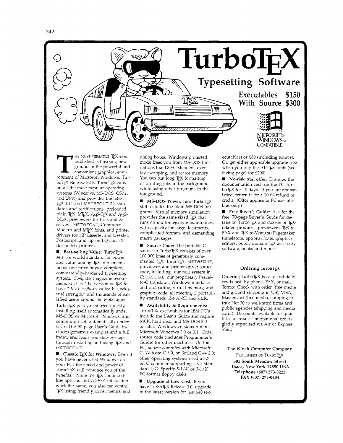



**THE MOST VERSATILE TEX ever**<br>
published is breaking new<br>
ground in the powerful and<br>
convenient graphical envi-<br>
ronment of Microsoft Windows: Tur published is breaking new ground in the powerful and ronment of Microsoft Windows: Tur boTEX Release 3.1E. TurboTEX runs on all the most popular operating systems (Windows, MS-DOS, OS/2, and UNIX) and provides the latest TEX 3.14 and METRFONT 2.7 standards and certifications: preloaded plain T<sub>E</sub>X, L<sup>AT</sup><sub>E</sub>X, *A<sub>M</sub>S*-T<sub>E</sub>X and *A<sub>M</sub>S*- $IATEX$ , previewers for PC's and Xservers, METAFONT, Computer Modern and BTEX fonts, and printer drivers for HP LaserJet and DeskJet, PostScript, and Epson LQ and FX dot-matrix printers.

Best-selling Value: TurboTEX sets the world standard for power and value among T<sub>E</sub>X implementations: one price buys a complete, commercially-hardened typesetting system. *Computer* magazine recommended it as "the version of TEX to have," *lEEE Software* called it "industrial strength," and thousands of satisfied users around the globe agree. Turbo $T_FX$  gets you started quickly, installing itself automatically under MS-DOS or Microsoft Windows, and compiling itself automatically under UNIX. The 90-page User's Guide includes generous examples and a full index, and leads you step-by-step through installing and using T<sub>E</sub>X and METAFONT.

■ Classic TEX for Windows. Even if you have never used Windows on your PC, the speed and power of Turbo $T_{E}X$  will convince you of the benefits. While the TEX commandline options and *T<sub>E</sub>Xbook* interaction work the same, you also can control TEX using friendly icons, menus, and

dialog boxes. Windows protected mode frees you from MS-DOS limitations like DOS extenders, overlay swapping, and scarce memory You can run long TEX formatting or printing jobs in the background while using other programs in the foreground.

MS-DOS Power, Too: TurboTEX still includes the plain MS-DOS programs. Virtual memory simulation provides the same sized TEX that runs on multi-megabyte mainframes, with capacity for iarge documents, complicated formats, and demanding macro packages.

Source Code: The portable C source to TurboTEX consists of over 100,000 lines of generously commented TEX, TurboTEX, METAFONT, previewer, and printer driver source code, including: our WEB system in C; PASCHAL, our proprietary Pascalto-C translator; Windows interface; and preloading, virtual memory, and graphics code, all meeting C portability standards like ANSI and K&R.

Availability & Requirements: TurboTEX executables for IBM PC's include the User's Gulde and require 640K, hard disk, and MS-DOS 3.0 or later. Windows versions run on Microsoft Windows 3.0 or 3.1. Order source code (includes Programmer's Guide) for other machines. On the PC, source compiles with Microsoft C, Watcom C 8.0, or Borland  $C_{++}$  2.0; other operating systems need a 32 bit C compiler supporting UNIX standard I/O. Specify 5-1/4" or 3-1/2" PC-format floppy disks.

Upgrade at Low Cost. If you have TurboTEX Release 3.0, upgrade to the latest version for just \$40 (executables) or \$80 (including source). Or, get either applicable upgrade free when you buy the AP-TEX fonts (see facing page) for \$200!

No-risk trial offer: Examine the documentation and run the PC Tur boTEX for 10 days. If you are not satisfied, return it for a 100% refund or credit. (Offer applies to PC executables only.)

Free Buyer's Guide: Ask for the free, 70-page Buyer's Guide for details on TurboTEX and dozens of TEXrelated products: previewers, TEX-to-FAX and TEX-to-Ventura/Pagemaker translators, optional fonts, graphics editors, public domain TEX accessory software, books and reports.

#### Ordering TurboTEX

Ordering TurboTEX is easy and delivery is fast, by phone, FAX, or mail. Terms: Check with order (free media and ground shipping in US), VISA, Mastercard (free media, shipping extra); Net 30 to well-rated firms and public agencies (shipping and media extra). Discounts available for quantities or resale. International orders gladly expedited via Air or Express Mail.

The Kinch Computer Company PUBLISHERS OF TURBOTEX **501** South Meadow Street Ithaca, New York **14850** USA Telephone **(607) 273-0222**  FAX **(607) 273-0484**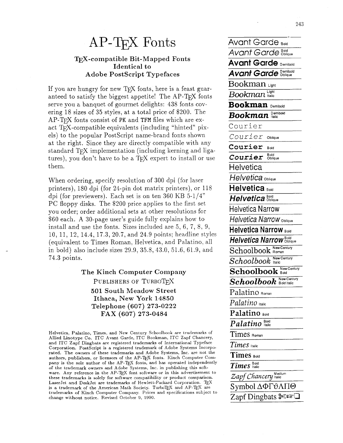## $AP$ -T $FX$  Fonts

### **l&X-compatible Bit-Mapped Fonts Identical to Adobe Postscript Typefaces**

If you are hungry for new TFX fonts, here is a feast guaranteed to satisfy the biggest appetite! The  $AP-TrX$  fonts serve you a banquet of gourmet delights: 438 fonts covering 18 sizes of 35 styles, at a total price of \$200. The  $AP$ -T<sub>F</sub>X fonts consist of PK and TFM files which are exact T<sub>F</sub>X-compatible equivalents (including "hinted" pixels) to the popular PostScript name-brand fonts shown at the right. Since they are directly compatible with any standard TFX implementation (including kerning and ligatures), you don't have to be a  $T_FX$  expert to install or use them.

When ordering, specify resolution of 300 dpi (for laser printers), 180 dpi (for 24-pin dot matrix printers), or 118 dpi (for previewers). Each set is on ten 360 KB  $5-1/4"$ PC floppy disks. The \$200 price applies to the first set you order; order additional sets at other resolutions for \$60 each. A 30-page user's guide fully explains how to install and use the fonts. Sizes included are 5, 6, 7, 8, 9, 10, 11, 12, 14.4, 17.3, 20.7, and 24.9 points; headline styles (equivalent to Times Roman, Helvetica, and Palatino, all in bold) also include sizes 29.9, 35.8, 43.0, 51.6, 61.9, and 74.3 points.

> **The Kinch Computer Company** PUBLISHERS OF TURBOTEX **501 South Meadow Street Ithaca, New York 14850 Telephone (607) 273-0222 FAX (607) 273-0484**

Helvetica, Palatino, Times, and New Century Schoolbook are trademarks of Allied Linotype Co. ITC Avant Garde, ITC Bookman, ITC Zapf Chancery, and ITC Zapf Dingbats are registered trademarks of International Typeface Corporation. PostScript is a registered trademark of Adobe Systems Incorporated. The owners of these trademarks and Adobe Systems, Inc. are not the authors, publishers, or licensors of the AP-TEX fonts. Kinch Computer Company is the sole author of the AP-TEX fonts, and has operated independently of the trademark owners and Adobe Systems, Inc. in publishing this software. Any reference in the AP-TEX font software or in this advertisement to these trademarks is solely for software compatibility or product comparison. LaserJet and DeskJet are trademarks of Hewlett-Packard Corporation. is a trademark of the American Math Society. TurboTEX and AP-TEX are trademarks of Kinch Computer Company. Prices and specifications subject to change without notice. Revised October 9, 1990.

| Avant Garde <sub>вою</sub>                                     |
|----------------------------------------------------------------|
| B oid<br>vant Garde<br>Oblique                                 |
| Avant Garde<br>Demibold                                        |
| Demibold<br>Avant Garde<br>Oblique                             |
| Bookman<br>Light                                               |
| Light<br>Bookman<br>Italic                                     |
| Bookman<br>Demibold                                            |
| Demiboid<br>Bookmai<br>Italic                                  |
| Courier                                                        |
| Courier<br>Oblique                                             |
| Courier<br><b>Bold</b>                                         |
| Bold<br><i><b>Courier</b></i><br>Oblique                       |
| Helvetica                                                      |
| Helvetica <sub>Oblique</sub>                                   |
| Helvetica<br>Bold                                              |
| Bold<br>Helvetica<br>Oblique                                   |
| Helvetica Narrow                                               |
| Helvetica Narrow <sub>Oblique</sub>                            |
| <b>Helvetica Narrow Bold</b>                                   |
| <b>Bold</b><br>Helvetica Narrow<br>Oblique                     |
| New Century<br>$\operatorname{Schoolbook}$<br>Roman            |
| New Century<br>Schoolbook<br>Italic                            |
| New Century<br>Schoolbook<br>Bold                              |
| New Century<br>$\boldsymbol{Schoolbook}$<br><b>Bold Italic</b> |
| Palatino Roman                                                 |
| Palatino Italic                                                |
| Palatino Boid                                                  |
| $Palatino$ <sup>Bold</sup>                                     |
| Times Romar                                                    |
| $\it Times$ Halic                                              |
| Times Bold                                                     |
| $\boldsymbol{Times}$ Halic                                     |
| Medium<br>Zapf Chancery Italic                                 |
| Symbol ΔΦΓθΛΠΘ                                                 |
| Zapf Dingbats $\mathscr{F}$                                    |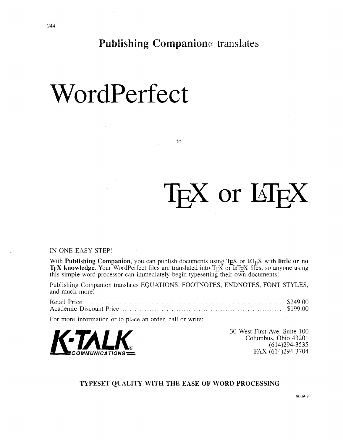**Publishing Companion®** translates

## WordPerfect

to

# T<sub>F</sub>X or LI<sub>F</sub>X

### IN ONE EASY STEP!

With **Publishing Companion**, you can publish documents using T<sub>E</sub>X or LAT<sub>E</sub>X with little or no **T<sub>E</sub>X** knowledge. Your WordPerfect files are translated into T<sub>E</sub>X or LAT<sub>E</sub>X files, so anyone using this simple word processor can immediately begin typesetting their own documents!

| and much more! | Publishing Companion translates EQUATIONS, FOOTNOTES, ENDNOTES, FONT STYLES, |  |  |  |  |
|----------------|------------------------------------------------------------------------------|--|--|--|--|
|                |                                                                              |  |  |  |  |
|                | For more information or to place an order call or write.                     |  |  |  |  |

For more information or to place an order, call or write:



30 West First Ave, Suite 100 Columbus, Ohio 43201 (614)294-3535 FAX (614)294-3704

### **TYPESET QUALITY WITH THE EASE OF WORD PROCESSING**

9009-9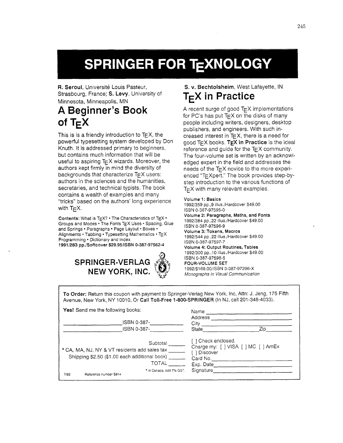## SPRINGER FOR TEXNOLOGY

R. Seroul, Université Louis Pasteur, Strasbourg, France; **S. Levy,** University of Minnesota, Minneapolis, MN

### **A Beginner's Book**  of  $T_F X$

This is is a friendly introduction to  $T_{E}X$ , the powerful typesetting system developed by Don Knuth. It is addressed primary to beginners, but contains much information that will be useful to aspiring  $T_{E}$ X wizards. Moreover, the authors kept firmly in mind the diversity of backgrounds that characterize  $T_{E}X$  users: authors in the sciences and the humanities, secretaries, and technical typists. The book contains a wealth of examples and many "tricks" based on the authors' long experience with  $T_{\text{F}}X$ .

Contents: What is  $TEX$ ? • The Characteristics of  $TEX$  • Groups and Modes . The Fonts TEX Uses . Spacing, Glue and Springs · Paragraphs · Page Layout · Boxes · Alignments · Tabbing · Typesetting Mathematics · TEX Programming . Dictionary and Index 1991/283 pp./Softcover \$29.95/ISBN 0-387-97562-4

### **SPRINGER-VERLAG NEW YORK,** INC.



### **S. v. Bechtolsheim,** West Lafayette, **IN T<sub>E</sub>X** in Practice

A recent surge of good  $T_F X$  implementations for PC's has put  $T_F X$  on the disks of many people including writers, designers, desktop publishers, and engineers. With such increased interest in  $Tr X$ , there is a need for good TEX books. TEX in **Practice** is the ideal reference and guide for the  $T_{E}X$  community. The four-volume set is written by an acknowledged expert in the field and addresses the needs of the  $T_{E}X$  novice to the more experienced "TEXpert." The book provides step-bystep introduction to the various functions of  $T$  $\in$ X with many relevant examples.

#### Volume 1: Basics

19921359 pp.,9 illus./Hardcover \$49.00 ISBN 0-387-97595-0 Volume 2: Paragraphs, Maths, and Fonts 19921384 pp.,22 illus.1Hardcover \$49.00 ISBN 0-387-97596-9 Volume 3: Tokens, Macros 19921544 pp.,22 illus./Hardcover \$49.00 ISBN 0-387-97597-7 Volume **4:** Output Routines, Tables 1992/300 pp., 10 illus./Hardcover \$49.00 ISBN 0-387-97598-5 FOUR-VOLUME **SET**  1992/\$169.0011SBN 0-387-97296-X Monographs in Visual Communicafion

**To Order:** Return this coupon with payment to Springer-Verlag New York, Inc, Attn: J. Jeng, 175 Fifth Avenue, New York, NY 10010, Or **Call Toll-Free** 1-800-SPRINGER (In NJ, call 201-348-4033).

| <b>Yes!</b> Send me the following books:                                                                                                                                         | Name                                                                    |                                     |  |
|----------------------------------------------------------------------------------------------------------------------------------------------------------------------------------|-------------------------------------------------------------------------|-------------------------------------|--|
| ISBN 0-387-<br>ISBN 0-387-                                                                                                                                                       | <b>Address</b><br>City<br>State                                         | Zip                                 |  |
| Subtotal<br>* CA, MA, NJ, NY & VT residents add sales tax<br>Shipping \$2.50 (\$1.00 each additional book)<br>TOTAL<br>* In Canada, add 7% GST.<br>7/92<br>Reference number S914 | [ ] Check enclosed.<br>1 Discover<br>Card No.<br>Exp. Date<br>Signature | Charge my: [ ] VISA [ ] MC [ ] AmEx |  |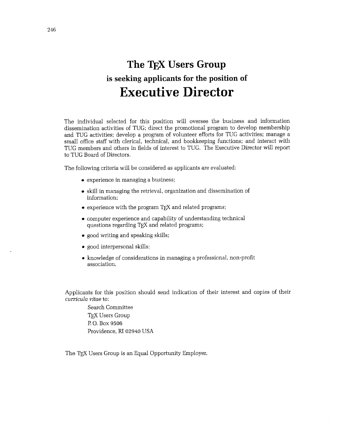### **The TFX Users Group is seeking applicants for the position of Executive Director**

The individual selected for this position will oversee the business and information dissemination activities of TUG; direct the promotional program to develop membership and TUG activities; develop a program of volunteer efforts for TUG activities; manage a small office staff with clerical, technical, and bookkeeping functions; and interact with TUG members and others in fields of interest to TUG. The Executive Director will report to TUG Board of Directors.

The following criteria will be considered as applicants are evaluated:

- experience in managing a business;
- skill in managing the retrieval, organization and dissemination of information;
- $\bullet$  experience with the program T<sub>F</sub>X and related programs;
- computer experience and capability of understanding technical questions regarding T<sub>F</sub>X and related programs;
- good writing and speaking skills;
- good interpersonal skills;
- knowledge of considerations in managing a professional, non-profit association.

Applicants for this position should send indication of their interest and copies of their *curricula vitae* to:

Search Committee TFX Users Group P.O. Box 9506 Providence, RI 02940 USA

The T<sub>F</sub>X Users Group is an Equal Opportunity Employer.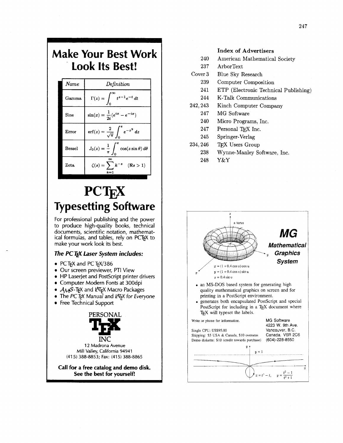| <b>Make Your Best Work</b><br><b>Look Its Best!</b> |       |                                                               |  |  |
|-----------------------------------------------------|-------|---------------------------------------------------------------|--|--|
|                                                     | Name  | Definition                                                    |  |  |
|                                                     | Gamma | $\Gamma(z) = \int_{0}^{\infty} t^{z-1} e^{-t} dt$             |  |  |
|                                                     | Sine  | $\sin(x) = \frac{1}{2i}(e^{ix} - e^{-ix})$                    |  |  |
|                                                     | Егтог | $\mathrm{erf}(z) = \frac{2}{\sqrt{\pi}} \int_0^z e^{-z^2} dz$ |  |  |

**PCTEX Typesetting Software** 

 $J_0(z) = \frac{1}{\pi}$ 

**Bessel** 

Zeta

 $\cos(z\sin\theta) d\theta$ 

 $(\Re s > 1)$ 

For professional publishing and the power to produce high-quality books, technical documents, scientific notation, mathematical formulas, and tables, rely on PCTFX to make your work look its best.

### **The PCT<sub>F</sub>X Laser System includes:**

- **a** PCT<sub>F</sub>X and PCT<sub>F</sub>X/386
- **a** Our screen previewer, PTI View
- **a** HP Laserjet and Postscript printer drivers
- **a** Computer Modern Fonts at 300dpi
- **AMS-TEX and PATEX Macro Packages**
- **•** The PC T<sub>F</sub>X Manual and LAT<sub>F</sub>X for Everyone
- Free Technical Support



**12** Madrona Avenue Mill Valley, California **94941**  (41 **5) 388-8853; Fa: (41 5) 388-8865** 

**Call for a free catalog and demo disk. See the best for yourself!** 

### **Index of Advertisers**

- 240 American Mathematical Society
- 237 ArborText
- Cover 3 Blue Sky Research
	- 239 Computer Composition
	- 241 ETP (Electronic Technical Publishing)
	- 244 K-Talk Communications
- 242,243 Kinch Computer Company
	- 247 MG Software
	- 240 Micro Programs, Inc.
	- 247 Personal TEX Inc.
	- 245 Springer-Verlag
- 234,246 TFX Users Group
	- 238 Wynne-Manley Software, Inc.
		- 248 Y&Y

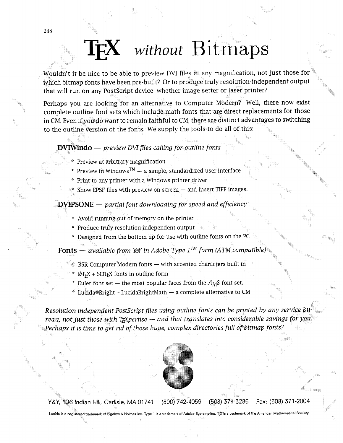## *without* Bitmaps

Wouldn't it be nice to be able to preview DVI files at any magnification, not just those for which bitrnap fonts have been pre-built? Or to produce truly resolution-independent output that will run on any PostScript device, whether image setter or laser printer?

Perhaps you are looking for an alternative to Computer Modern? Well, there now exist complete outline font sets which include math fonts that are direct replacements for those in CM. Even if you do want to remain faithful to CM, there are distinct advantages to switching to the outline version of the fonts. We supply the tools to do all of this:

### *DVIWindo — preview DVI files calling for outline fonts*

- Preview at arbitrary magnification
- \* Preview in Windows<sup>TM</sup>  $-$  a simple, standardized user interface
- \* Print to any printer with a Windows printer driver
- $*$  Show EPSF files with preview on screen  $-$  and insert TIFF images.

### **DVIPSONE** - *partial font downloading for speed and efficiency*

- \* Avoid running out of memory on the printer
- \* Produce truly resolution-independent output
- \* Designed from the bottom up for use with outline fonts on the P

**Fonts** — *available from YeY in Adobe Type*  $1^{TM}$  *form (ATM compatible)* 

- $\hbar$  BSR Computer Modern fonts  $-$  with accented characters built in
- $\text{LAT} _{F}X$  + SLITEX fonts in outline form
- \* Euler font set  $-$  the most popular faces from the  $A_{\mathcal{M}}$ S font set.
- \* LucidaBBright + LucidaBrightMath a complete alternative to CM

Resolution-independent PostScript files using outline fonts can be printed by any ser<br>reau, not just those with T<sub>E</sub>Xpertise — and that translates into considerable savings <sub>l</sub> Perhaps it is time to get rid of those huge, complex directories full of bitmap fonts?



Y&Y, 106 Indian Hill, Carlisle, MA 01741 (800) 742-4059 (508) 371-3286 Fax: (508) 371-2004

**trademark of Bigelow** & **Holmea** lnc. **Type** 1 **is a trademark of Adobe Systems Inc. T@ is a trademark of the American Mathematical Society**